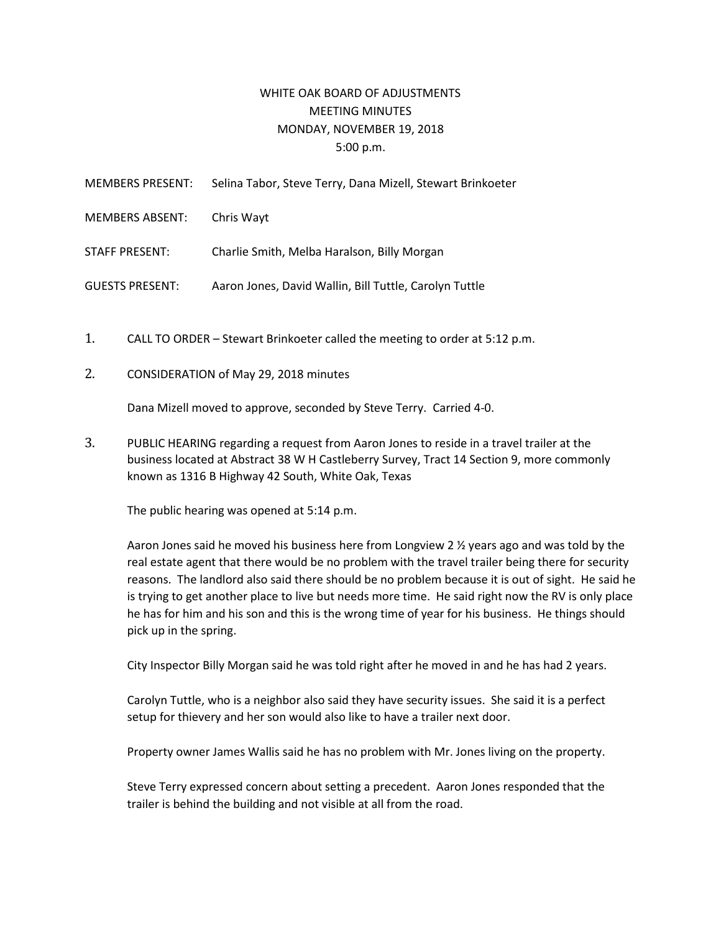## WHITE OAK BOARD OF ADJUSTMENTS MEETING MINUTES MONDAY, NOVEMBER 19, 2018 5:00 p.m.

| <b>MEMBERS PRESENT:</b> | Selina Tabor, Steve Terry, Dana Mizell, Stewart Brinkoeter |
|-------------------------|------------------------------------------------------------|
| <b>MEMBERS ABSENT:</b>  | Chris Wayt                                                 |
| <b>STAFF PRESENT:</b>   | Charlie Smith, Melba Haralson, Billy Morgan                |
| <b>GUESTS PRESENT:</b>  | Aaron Jones, David Wallin, Bill Tuttle, Carolyn Tuttle     |
|                         |                                                            |

- 1. CALL TO ORDER Stewart Brinkoeter called the meeting to order at 5:12 p.m.
- 2. CONSIDERATION of May 29, 2018 minutes

Dana Mizell moved to approve, seconded by Steve Terry. Carried 4-0.

3. PUBLIC HEARING regarding a request from Aaron Jones to reside in a travel trailer at the business located at Abstract 38 W H Castleberry Survey, Tract 14 Section 9, more commonly known as 1316 B Highway 42 South, White Oak, Texas

The public hearing was opened at 5:14 p.m.

Aaron Jones said he moved his business here from Longview 2 % years ago and was told by the real estate agent that there would be no problem with the travel trailer being there for security reasons. The landlord also said there should be no problem because it is out of sight. He said he is trying to get another place to live but needs more time. He said right now the RV is only place he has for him and his son and this is the wrong time of year for his business. He things should pick up in the spring.

City Inspector Billy Morgan said he was told right after he moved in and he has had 2 years.

Carolyn Tuttle, who is a neighbor also said they have security issues. She said it is a perfect setup for thievery and her son would also like to have a trailer next door.

Property owner James Wallis said he has no problem with Mr. Jones living on the property.

Steve Terry expressed concern about setting a precedent. Aaron Jones responded that the trailer is behind the building and not visible at all from the road.